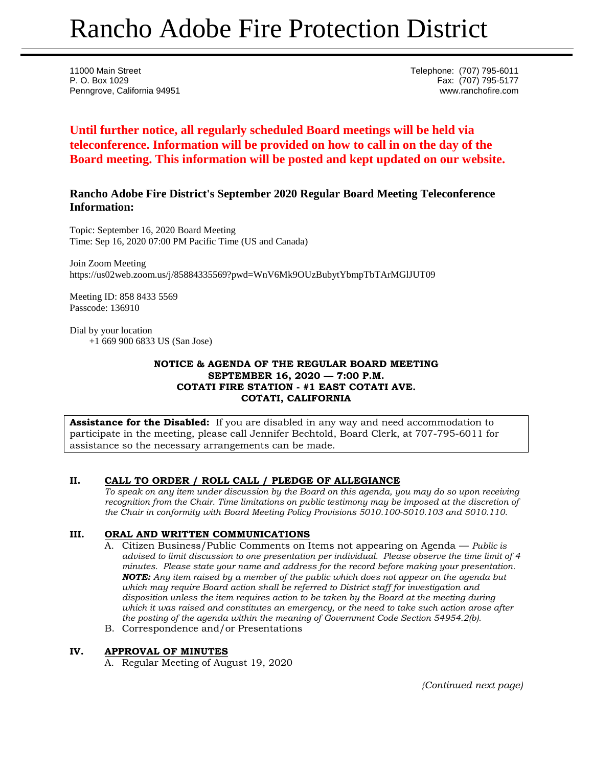# Rancho Adobe Fire Protection District

11000 Main Street Telephone: (707) 795-6011 P. O. Box 1029 Fax: (707) 795-5177 Penngrove, California 94951 www.ranchofire.com

**Until further notice, all regularly scheduled Board meetings will be held via teleconference. Information will be provided on how to call in on the day of the Board meeting. This information will be posted and kept updated on our website.**

# **Rancho Adobe Fire District's September 2020 Regular Board Meeting Teleconference Information:**

Topic: September 16, 2020 Board Meeting Time: Sep 16, 2020 07:00 PM Pacific Time (US and Canada)

Join Zoom Meeting https://us02web.zoom.us/j/85884335569?pwd=WnV6Mk9OUzBubytYbmpTbTArMGlJUT09

Meeting ID: 858 8433 5569 Passcode: 136910

Dial by your location +1 669 900 6833 US (San Jose)

## **NOTICE & AGENDA OF THE REGULAR BOARD MEETING SEPTEMBER 16, 2020 — 7:00 P.M. COTATI FIRE STATION - #1 EAST COTATI AVE. COTATI, CALIFORNIA**

**Assistance for the Disabled:** If you are disabled in any way and need accommodation to participate in the meeting, please call Jennifer Bechtold, Board Clerk, at 707-795-6011 for assistance so the necessary arrangements can be made.

## **II. CALL TO ORDER / ROLL CALL / PLEDGE OF ALLEGIANCE**

*To speak on any item under discussion by the Board on this agenda, you may do so upon receiving recognition from the Chair. Time limitations on public testimony may be imposed at the discretion of the Chair in conformity with Board Meeting Policy Provisions 5010.100-5010.103 and 5010.110.*

#### **III. ORAL AND WRITTEN COMMUNICATIONS**

- A. Citizen Business/Public Comments on Items not appearing on Agenda *Public is advised to limit discussion to one presentation per individual. Please observe the time limit of 4 minutes. Please state your name and address for the record before making your presentation. NOTE: Any item raised by a member of the public which does not appear on the agenda but which may require Board action shall be referred to District staff for investigation and disposition unless the item requires action to be taken by the Board at the meeting during which it was raised and constitutes an emergency, or the need to take such action arose after the posting of the agenda within the meaning of Government Code Section 54954.2(b).*
- B. Correspondence and/or Presentations

#### **IV. APPROVAL OF MINUTES**

A. Regular Meeting of August 19, 2020

*{Continued next page)*